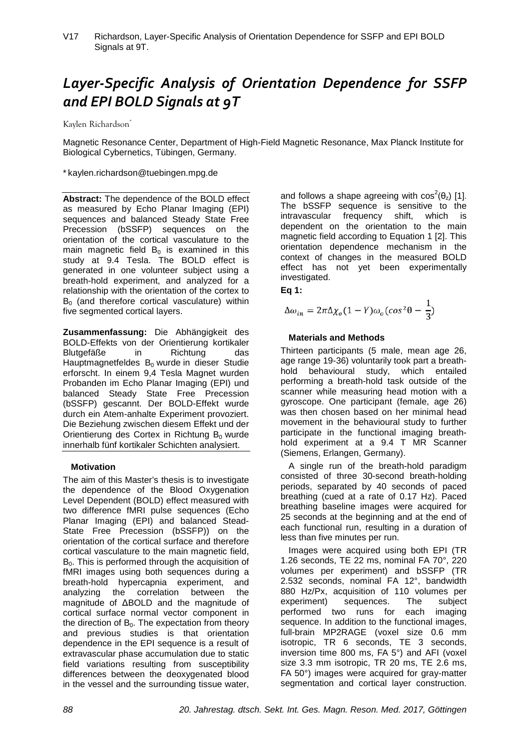# *Layer-Specific Analysis of Orientation Dependence for SSFP and EPI BOLD Signals at 9T*

Kaylen Richardson<sup>\*</sup>

Magnetic Resonance Center, Department of High-Field Magnetic Resonance, Max Planck Institute for Biological Cybernetics, Tübingen, Germany.

\* kaylen.richardson@tuebingen.mpg.de

**Abstract:** The dependence of the BOLD effect as measured by Echo Planar Imaging (EPI) sequences and balanced Steady State Free Precession (bSSFP) sequences on the orientation of the cortical vasculature to the main magnetic field  $B_0$  is examined in this study at 9.4 Tesla. The BOLD effect is generated in one volunteer subject using a breath-hold experiment, and analyzed for a relationship with the orientation of the cortex to  $B<sub>0</sub>$  (and therefore cortical vasculature) within five segmented cortical layers.

**Zusammenfassung:** Die Abhängigkeit des BOLD-Effekts von der Orientierung kortikaler Blutgefäße in Richtung das Hauptmagnetfeldes  $B_0$  wurde in dieser Studie erforscht. In einem 9,4 Tesla Magnet wurden Probanden im Echo Planar Imaging (EPI) und balanced Steady State Free Precession (bSSFP) gescannt. Der BOLD-Effekt wurde durch ein Atem-anhalte Experiment provoziert. Die Beziehung zwischen diesem Effekt und der Orientierung des Cortex in Richtung  $B_0$  wurde innerhalb fünf kortikaler Schichten analysiert.

## **Motivation**

The aim of this Master's thesis is to investigate the dependence of the Blood Oxygenation Level Dependent (BOLD) effect measured with two difference fMRI pulse sequences (Echo Planar Imaging (EPI) and balanced Stead-State Free Precession (bSSFP)) on the orientation of the cortical surface and therefore cortical vasculature to the main magnetic field,  $B<sub>0</sub>$ . This is performed through the acquisition of fMRI images using both sequences during a breath-hold hypercapnia experiment, and analyzing the correlation between the magnitude of ΔBOLD and the magnitude of cortical surface normal vector component in the direction of  $B_0$ . The expectation from theory and previous studies is that orientation dependence in the EPI sequence is a result of extravascular phase accumulation due to static field variations resulting from susceptibility differences between the deoxygenated blood in the vessel and the surrounding tissue water,

and follows a shape agreeing with  $cos^2(\theta_z)$  [1]. The bSSFP sequence is sensitive to the intravascular frequency shift, which is dependent on the orientation to the main magnetic field according to Equation 1 [2]. This orientation dependence mechanism in the context of changes in the measured BOLD effect has not yet been experimentally investigated.

**Eq 1:**

$$
\Delta\omega_{in} = 2\pi\Delta\chi_o(1-Y)\omega_o(cos^2\theta - \frac{1}{3})
$$

# **Materials and Methods**

Thirteen participants (5 male, mean age 26, age range 19-36) voluntarily took part a breathhold behavioural study, which entailed performing a breath-hold task outside of the scanner while measuring head motion with a gyroscope. One participant (female, age 26) was then chosen based on her minimal head movement in the behavioural study to further participate in the functional imaging breathhold experiment at a 9.4 T MR Scanner (Siemens, Erlangen, Germany).

A single run of the breath-hold paradigm consisted of three 30-second breath-holding periods, separated by 40 seconds of paced breathing (cued at a rate of 0.17 Hz). Paced breathing baseline images were acquired for 25 seconds at the beginning and at the end of each functional run, resulting in a duration of less than five minutes per run.

Images were acquired using both EPI (TR 1.26 seconds, TE 22 ms, nominal FA 70°, 220 volumes per experiment) and bSSFP (TR 2.532 seconds, nominal FA 12°, bandwidth 880 Hz/Px, acquisition of 110 volumes per experiment) sequences. The subject performed two runs for each imaging sequence. In addition to the functional images, full-brain MP2RAGE (voxel size 0.6 mm isotropic, TR 6 seconds, TE 3 seconds, inversion time 800 ms, FA 5°) and AFI (voxel size 3.3 mm isotropic, TR 20 ms, TE 2.6 ms, FA 50°) images were acquired for gray-matter segmentation and cortical layer construction.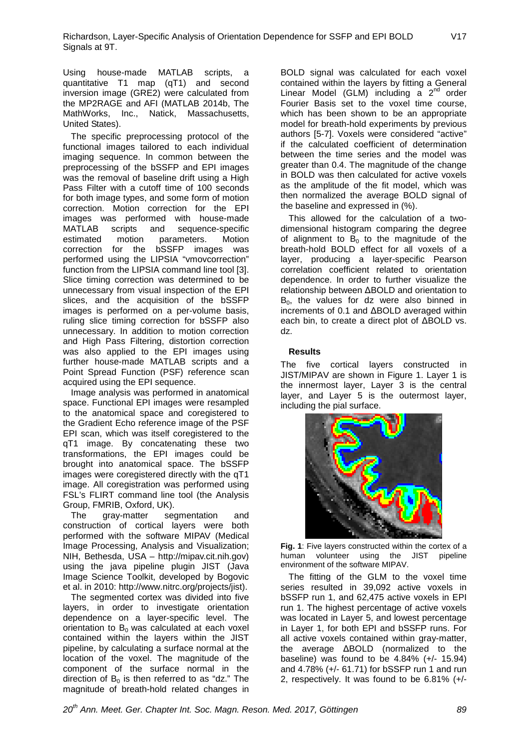Using house-made MATLAB scripts, a quantitative T1 map (qT1) and second inversion image (GRE2) were calculated from the MP2RAGE and AFI (MATLAB 2014b, The MathWorks, Inc., Natick, Massachusetts, United States).

The specific preprocessing protocol of the functional images tailored to each individual imaging sequence. In common between the preprocessing of the bSSFP and EPI images was the removal of baseline drift using a High Pass Filter with a cutoff time of 100 seconds for both image types, and some form of motion correction. Motion correction for the EPI images was performed with house-made MATLAB scripts and sequence-specific<br>estimated motion parameters. Motion parameters. Motion correction for the bSSFP images was performed using the LIPSIA "vmovcorrection" function from the LIPSIA command line tool [3]. Slice timing correction was determined to be unnecessary from visual inspection of the EPI slices, and the acquisition of the bSSFP images is performed on a per-volume basis, ruling slice timing correction for bSSFP also unnecessary. In addition to motion correction and High Pass Filtering, distortion correction was also applied to the EPI images using further house-made MATLAB scripts and a Point Spread Function (PSF) reference scan acquired using the EPI sequence.

Image analysis was performed in anatomical space. Functional EPI images were resampled to the anatomical space and coregistered to the Gradient Echo reference image of the PSF EPI scan, which was itself coregistered to the qT1 image. By concatenating these two transformations, the EPI images could be brought into anatomical space. The bSSFP images were coregistered directly with the qT1 image. All coregistration was performed using FSL's FLIRT command line tool (the Analysis

Group, FMRIB, Oxford, UK).<br>The arav-matter see segmentation and construction of cortical layers were both performed with the software MIPAV (Medical Image Processing, Analysis and Visualization; NIH, Bethesda, USA – http://mipav.cit.nih.gov) using the java pipeline plugin JIST (Java Image Science Toolkit, developed by Bogovic et al. in 2010: http://www.nitrc.org/projects/jist).

The segmented cortex was divided into five layers, in order to investigate orientation dependence on a layer-specific level. The orientation to  $B_0$  was calculated at each voxel contained within the layers within the JIST pipeline, by calculating a surface normal at the location of the voxel. The magnitude of the component of the surface normal in the direction of  $B_0$  is then referred to as "dz." The magnitude of breath-hold related changes in

BOLD signal was calculated for each voxel contained within the layers by fitting a General Linear Model (GLM) including  $a^2$   $2^{nd}$  order Fourier Basis set to the voxel time course, which has been shown to be an appropriate model for breath-hold experiments by previous authors [5-7]. Voxels were considered "active" if the calculated coefficient of determination between the time series and the model was greater than 0.4. The magnitude of the change in BOLD was then calculated for active voxels as the amplitude of the fit model, which was then normalized the average BOLD signal of the baseline and expressed in (%).

This allowed for the calculation of a twodimensional histogram comparing the degree of alignment to  $\overline{B}_0$  to the magnitude of the breath-hold BOLD effect for all voxels of a layer, producing a layer-specific Pearson correlation coefficient related to orientation dependence. In order to further visualize the relationship between ΔBOLD and orientation to  $B_0$ , the values for dz were also binned in increments of 0.1 and ΔBOLD averaged within each bin, to create a direct plot of ΔBOLD vs. dz.

#### **Results**

The five cortical layers constructed in JIST/MIPAV are shown in Figure 1. Layer 1 is the innermost layer, Layer 3 is the central layer, and Layer 5 is the outermost layer, including the pial surface.



**Fig. 1**: Five layers constructed within the cortex of a human volunteer using the JIST pipeline environment of the software MIPAV.

The fitting of the GLM to the voxel time series resulted in 39,092 active voxels in bSSFP run 1, and 62,475 active voxels in EPI run 1. The highest percentage of active voxels was located in Layer 5, and lowest percentage in Layer 1, for both EPI and bSSFP runs. For all active voxels contained within gray-matter, the average ΔBOLD (normalized to the baseline) was found to be  $4.84\%$  ( $+/- 15.94$ ) and 4.78% (+/- 61.71) for bSSFP run 1 and run 2, respectively. It was found to be 6.81% (+/-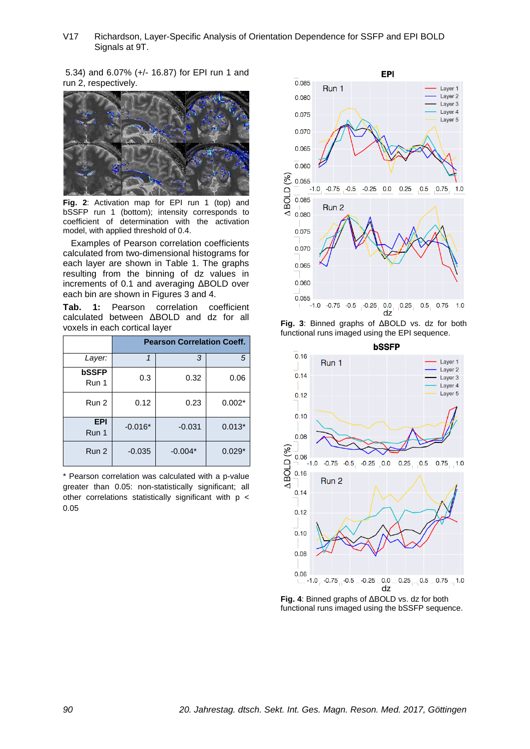V17 Richardson, Layer-Specific Analysis of Orientation Dependence for SSFP and EPI BOLD Signals at 9T.

5.34) and 6.07% (+/- 16.87) for EPI run 1 and run 2, respectively.



**Fig. 2**: Activation map for EPI run 1 (top) and bSSFP run 1 (bottom); intensity corresponds to coefficient of determination with the activation model, with applied threshold of 0.4.

Examples of Pearson correlation coefficients calculated from two-dimensional histograms for each layer are shown in Table 1. The graphs resulting from the binning of dz values in increments of 0.1 and averaging ΔBOLD over each bin are shown in Figures 3 and 4.

**Tab. 1:** Pearson correlation coefficient calculated between ΔBOLD and dz for all voxels in each cortical layer

|                       | <b>Pearson Correlation Coeff.</b> |           |          |
|-----------------------|-----------------------------------|-----------|----------|
| Layer:                | 1                                 | 3         | 5        |
| <b>bSSFP</b><br>Run 1 | 0.3                               | 0.32      | 0.06     |
| Run 2                 | 0.12                              | 0.23      | $0.002*$ |
| <b>EPI</b><br>Run 1   | $-0.016*$                         | $-0.031$  | $0.013*$ |
| Run 2                 | $-0.035$                          | $-0.004*$ | $0.029*$ |

\* Pearson correlation was calculated with a p-value greater than 0.05: non-statistically significant; all other correlations statistically significant with p < 0.05



**Fig. 3**: Binned graphs of ΔBOLD vs. dz for both functional runs imaged using the EPI sequence.



**Fig. 4**: Binned graphs of ΔBOLD vs. dz for both functional runs imaged using the bSSFP sequence.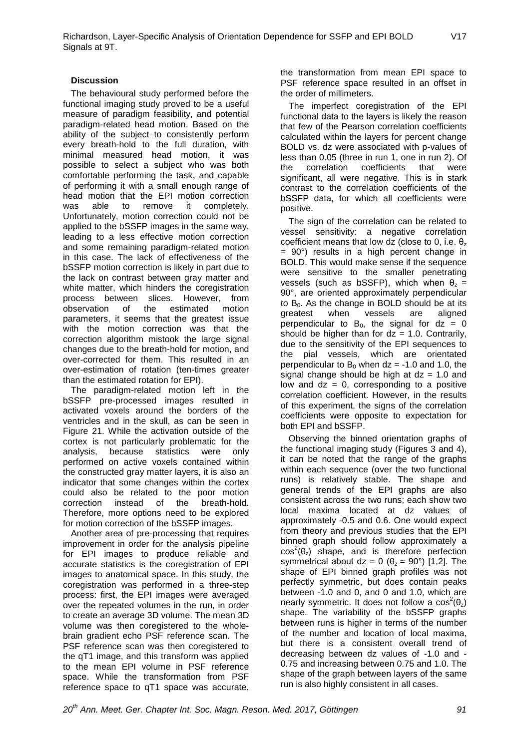# **Discussion**

The behavioural study performed before the functional imaging study proved to be a useful measure of paradigm feasibility, and potential paradigm-related head motion. Based on the ability of the subject to consistently perform every breath-hold to the full duration, with minimal measured head motion, it was possible to select a subject who was both comfortable performing the task, and capable of performing it with a small enough range of head motion that the EPI motion correction was able to remove it completely. Unfortunately, motion correction could not be applied to the bSSFP images in the same way, leading to a less effective motion correction and some remaining paradigm-related motion in this case. The lack of effectiveness of the bSSFP motion correction is likely in part due to the lack on contrast between gray matter and white matter, which hinders the coregistration process between slices. However, from observation of the estimated motion parameters, it seems that the greatest issue with the motion correction was that the correction algorithm mistook the large signal changes due to the breath-hold for motion, and over-corrected for them. This resulted in an over-estimation of rotation (ten-times greater than the estimated rotation for EPI).

The paradigm-related motion left in the bSSFP pre-processed images resulted in activated voxels around the borders of the ventricles and in the skull, as can be seen in Figure 21. While the activation outside of the cortex is not particularly problematic for the analysis, because statistics were only performed on active voxels contained within the constructed gray matter layers, it is also an indicator that some changes within the cortex could also be related to the poor motion correction instead of the breath-hold. Therefore, more options need to be explored for motion correction of the bSSFP images.

Another area of pre-processing that requires improvement in order for the analysis pipeline for EPI images to produce reliable and accurate statistics is the coregistration of EPI images to anatomical space. In this study, the coregistration was performed in a three-step process: first, the EPI images were averaged over the repeated volumes in the run, in order to create an average 3D volume. The mean 3D volume was then coregistered to the wholebrain gradient echo PSF reference scan. The PSF reference scan was then coregistered to the qT1 image, and this transform was applied to the mean EPI volume in PSF reference space. While the transformation from PSF reference space to qT1 space was accurate, the transformation from mean EPI space to PSF reference space resulted in an offset in the order of millimeters.

The imperfect coregistration of the EPI functional data to the layers is likely the reason that few of the Pearson correlation coefficients calculated within the layers for percent change BOLD vs. dz were associated with p-values of less than 0.05 (three in run 1, one in run 2). Of the correlation coefficients that were significant, all were negative. This is in stark contrast to the correlation coefficients of the bSSFP data, for which all coefficients were positive.

The sign of the correlation can be related to vessel sensitivity: a negative correlation coefficient means that low dz (close to 0, i.e.  $θ_7$ )  $= 90^\circ$ ) results in a high percent change in BOLD. This would make sense if the sequence were sensitive to the smaller penetrating vessels (such as bSSFP), which when  $\theta_z =$ 90°, are oriented approximately perpendicular to  $B_0$ . As the change in BOLD should be at its greatest when vessels are aligned greatest perpendicular to  $B_0$ , the signal for  $dz = 0$ should be higher than for  $dz = 1.0$ . Contrarily, due to the sensitivity of the EPI sequences to the pial vessels, which are orientated perpendicular to  $B_0$  when dz = -1.0 and 1.0, the signal change should be high at  $dz = 1.0$  and low and  $dz = 0$ , corresponding to a positive correlation coefficient. However, in the results of this experiment, the signs of the correlation coefficients were opposite to expectation for both EPI and bSSFP.

Observing the binned orientation graphs of the functional imaging study (Figures 3 and 4), it can be noted that the range of the graphs within each sequence (over the two functional runs) is relatively stable. The shape and general trends of the EPI graphs are also consistent across the two runs; each show two local maxima located at dz values of approximately -0.5 and 0.6. One would expect from theory and previous studies that the EPI binned graph should follow approximately a  $cos^2(\theta_z)$  shape, and is therefore perfection symmetrical about dz = 0 ( $\theta$ <sub>z</sub> = 90°) [1,2]. The shape of EPI binned graph profiles was not perfectly symmetric, but does contain peaks between -1.0 and 0, and 0 and 1.0, which are nearly symmetric. It does not follow a  $cos^2(\theta_z)$ shape. The variability of the bSSFP graphs between runs is higher in terms of the number of the number and location of local maxima, but there is a consistent overall trend of decreasing between dz values of -1.0 and - 0.75 and increasing between 0.75 and 1.0. The shape of the graph between layers of the same run is also highly consistent in all cases.